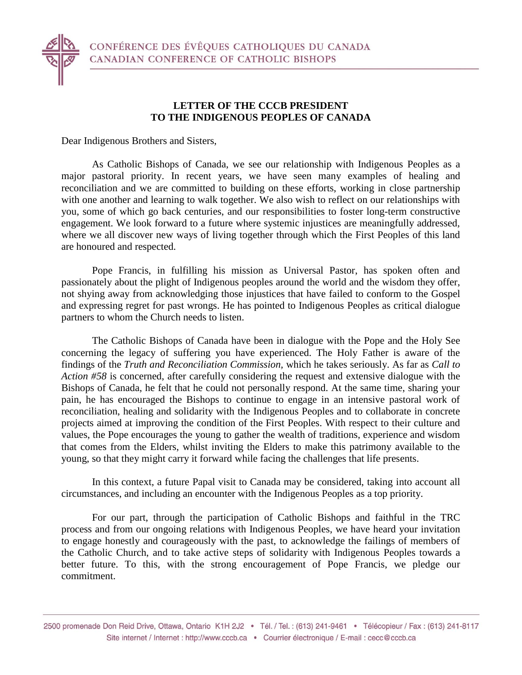

Dear Indigenous Brothers and Sisters,

As Catholic Bishops of Canada, we see our relationship with Indigenous Peoples as a major pastoral priority. In recent years, we have seen many examples of healing and reconciliation and we are committed to building on these efforts, working in close partnership with one another and learning to walk together. We also wish to reflect on our relationships with you, some of which go back centuries, and our responsibilities to foster long-term constructive engagement. We look forward to a future where systemic injustices are meaningfully addressed, where we all discover new ways of living together through which the First Peoples of this land are honoured and respected.

Pope Francis, in fulfilling his mission as Universal Pastor, has spoken often and passionately about the plight of Indigenous peoples around the world and the wisdom they offer, not shying away from acknowledging those injustices that have failed to conform to the Gospel and expressing regret for past wrongs. He has pointed to Indigenous Peoples as critical dialogue partners to whom the Church needs to listen.

The Catholic Bishops of Canada have been in dialogue with the Pope and the Holy See concerning the legacy of suffering you have experienced. The Holy Father is aware of the findings of the *Truth and Reconciliation Commission,* which he takes seriously. As far as *Call to Action #58* is concerned, after carefully considering the request and extensive dialogue with the Bishops of Canada, he felt that he could not personally respond. At the same time, sharing your pain, he has encouraged the Bishops to continue to engage in an intensive pastoral work of reconciliation, healing and solidarity with the Indigenous Peoples and to collaborate in concrete projects aimed at improving the condition of the First Peoples. With respect to their culture and values, the Pope encourages the young to gather the wealth of traditions, experience and wisdom that comes from the Elders, whilst inviting the Elders to make this patrimony available to the young, so that they might carry it forward while facing the challenges that life presents.

In this context, a future Papal visit to Canada may be considered, taking into account all circumstances, and including an encounter with the Indigenous Peoples as a top priority.

For our part, through the participation of Catholic Bishops and faithful in the TRC process and from our ongoing relations with Indigenous Peoples, we have heard your invitation to engage honestly and courageously with the past, to acknowledge the failings of members of the Catholic Church, and to take active steps of solidarity with Indigenous Peoples towards a better future. To this, with the strong encouragement of Pope Francis, we pledge our commitment.

<sup>2500</sup> promenade Don Reid Drive, Ottawa, Ontario K1H 2J2 · Tél. / Tel.: (613) 241-9461 · Télécopieur / Fax: (613) 241-8117 Site internet / Internet : http://www.cccb.ca · Courrier électronique / E-mail : cecc@cccb.ca